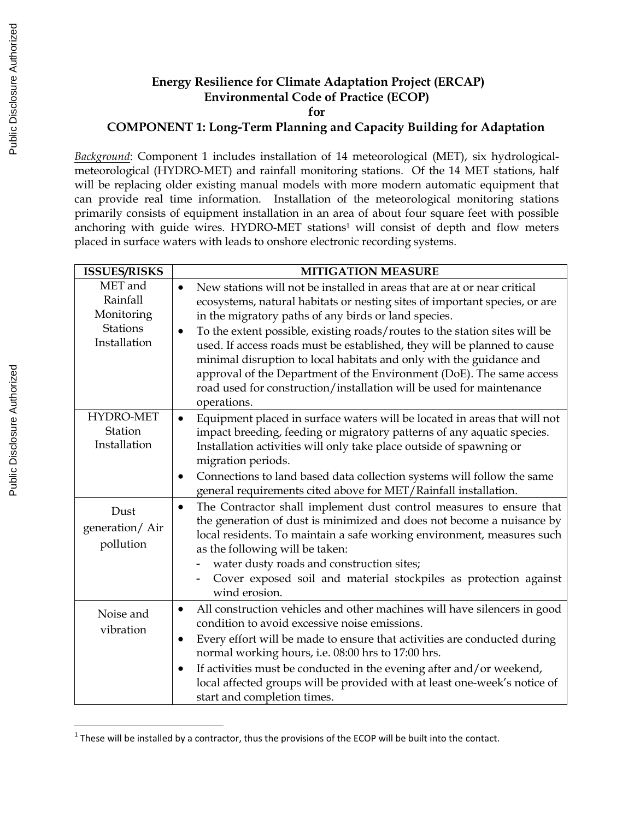## **Energy Resilience for Climate Adaptation Project (ERCAP) Environmental Code of Practice (ECOP)**

**for** 

## **COMPONENT 1: Long-Term Planning and Capacity Building for Adaptation**

*Background*: Component 1 includes installation of 14 meteorological (MET), six hydrologicalmeteorological (HYDRO-MET) and rainfall monitoring stations. Of the 14 MET stations, half will be replacing older existing manual models with more modern automatic equipment that can provide real time information. Installation of the meteorological monitoring stations primarily consists of equipment installation in an area of about four square feet with possible anchoring with guide wires. HYDRO-MET stations<sup>1</sup> will consist of depth and flow meters placed in surface waters with leads to onshore electronic recording systems.

| <b>ISSUES/RISKS</b>                                                  | <b>MITIGATION MEASURE</b>                                                                                                                                                                                                                                                                                                                                                                                                                                                                                                                                                                                                   |
|----------------------------------------------------------------------|-----------------------------------------------------------------------------------------------------------------------------------------------------------------------------------------------------------------------------------------------------------------------------------------------------------------------------------------------------------------------------------------------------------------------------------------------------------------------------------------------------------------------------------------------------------------------------------------------------------------------------|
| MET and<br>Rainfall<br>Monitoring<br><b>Stations</b><br>Installation | New stations will not be installed in areas that are at or near critical<br>ecosystems, natural habitats or nesting sites of important species, or are<br>in the migratory paths of any birds or land species.<br>To the extent possible, existing roads/routes to the station sites will be<br>$\bullet$<br>used. If access roads must be established, they will be planned to cause<br>minimal disruption to local habitats and only with the guidance and<br>approval of the Department of the Environment (DoE). The same access<br>road used for construction/installation will be used for maintenance<br>operations. |
| HYDRO-MET<br>Station<br>Installation                                 | Equipment placed in surface waters will be located in areas that will not<br>$\bullet$<br>impact breeding, feeding or migratory patterns of any aquatic species.<br>Installation activities will only take place outside of spawning or<br>migration periods.<br>Connections to land based data collection systems will follow the same<br>$\bullet$<br>general requirements cited above for MET/Rainfall installation.                                                                                                                                                                                                     |
| Dust<br>generation/Air<br>pollution                                  | The Contractor shall implement dust control measures to ensure that<br>$\bullet$<br>the generation of dust is minimized and does not become a nuisance by<br>local residents. To maintain a safe working environment, measures such<br>as the following will be taken:<br>water dusty roads and construction sites;<br>Cover exposed soil and material stockpiles as protection against<br>wind erosion.                                                                                                                                                                                                                    |
| Noise and<br>vibration                                               | All construction vehicles and other machines will have silencers in good<br>$\bullet$<br>condition to avoid excessive noise emissions.<br>Every effort will be made to ensure that activities are conducted during<br>$\bullet$<br>normal working hours, i.e. 08:00 hrs to 17:00 hrs.<br>If activities must be conducted in the evening after and/or weekend,<br>$\bullet$<br>local affected groups will be provided with at least one-week's notice of<br>start and completion times.                                                                                                                                      |

 $<sup>1</sup>$  These will be installed by a contractor, thus the provisions of the ECOP will be built into the contact.</sup>

 $\overline{a}$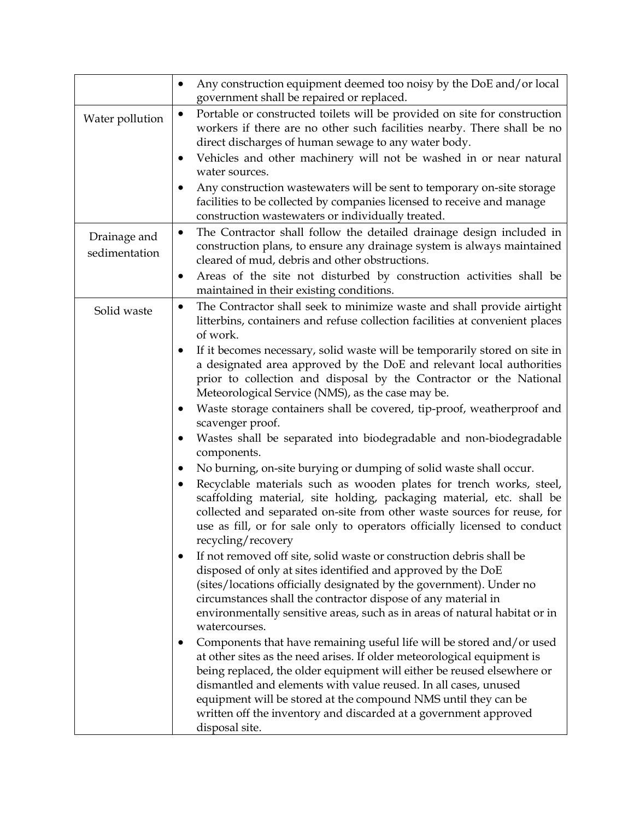|                               | Any construction equipment deemed too noisy by the DoE and/or local<br>government shall be repaired or replaced.                                                                                                                                                                                                                                                                                                                                      |
|-------------------------------|-------------------------------------------------------------------------------------------------------------------------------------------------------------------------------------------------------------------------------------------------------------------------------------------------------------------------------------------------------------------------------------------------------------------------------------------------------|
| Water pollution               | Portable or constructed toilets will be provided on site for construction<br>$\bullet$<br>workers if there are no other such facilities nearby. There shall be no<br>direct discharges of human sewage to any water body.                                                                                                                                                                                                                             |
|                               | Vehicles and other machinery will not be washed in or near natural<br>$\bullet$<br>water sources.                                                                                                                                                                                                                                                                                                                                                     |
|                               | Any construction wastewaters will be sent to temporary on-site storage<br>facilities to be collected by companies licensed to receive and manage<br>construction wastewaters or individually treated.                                                                                                                                                                                                                                                 |
| Drainage and<br>sedimentation | The Contractor shall follow the detailed drainage design included in<br>$\bullet$<br>construction plans, to ensure any drainage system is always maintained<br>cleared of mud, debris and other obstructions.                                                                                                                                                                                                                                         |
|                               | Areas of the site not disturbed by construction activities shall be<br>$\bullet$<br>maintained in their existing conditions.                                                                                                                                                                                                                                                                                                                          |
| Solid waste                   | The Contractor shall seek to minimize waste and shall provide airtight<br>$\bullet$<br>litterbins, containers and refuse collection facilities at convenient places<br>of work.                                                                                                                                                                                                                                                                       |
|                               | If it becomes necessary, solid waste will be temporarily stored on site in<br>$\bullet$<br>a designated area approved by the DoE and relevant local authorities<br>prior to collection and disposal by the Contractor or the National<br>Meteorological Service (NMS), as the case may be.                                                                                                                                                            |
|                               | Waste storage containers shall be covered, tip-proof, weatherproof and<br>$\bullet$<br>scavenger proof.                                                                                                                                                                                                                                                                                                                                               |
|                               | Wastes shall be separated into biodegradable and non-biodegradable<br>$\bullet$<br>components.                                                                                                                                                                                                                                                                                                                                                        |
|                               | No burning, on-site burying or dumping of solid waste shall occur.<br>$\bullet$<br>Recyclable materials such as wooden plates for trench works, steel,<br>$\bullet$<br>scaffolding material, site holding, packaging material, etc. shall be<br>collected and separated on-site from other waste sources for reuse, for<br>use as fill, or for sale only to operators officially licensed to conduct<br>recycling/recovery                            |
|                               | If not removed off site, solid waste or construction debris shall be<br>disposed of only at sites identified and approved by the DoE<br>(sites/locations officially designated by the government). Under no<br>circumstances shall the contractor dispose of any material in<br>environmentally sensitive areas, such as in areas of natural habitat or in<br>watercourses.                                                                           |
|                               | Components that have remaining useful life will be stored and/or used<br>at other sites as the need arises. If older meteorological equipment is<br>being replaced, the older equipment will either be reused elsewhere or<br>dismantled and elements with value reused. In all cases, unused<br>equipment will be stored at the compound NMS until they can be<br>written off the inventory and discarded at a government approved<br>disposal site. |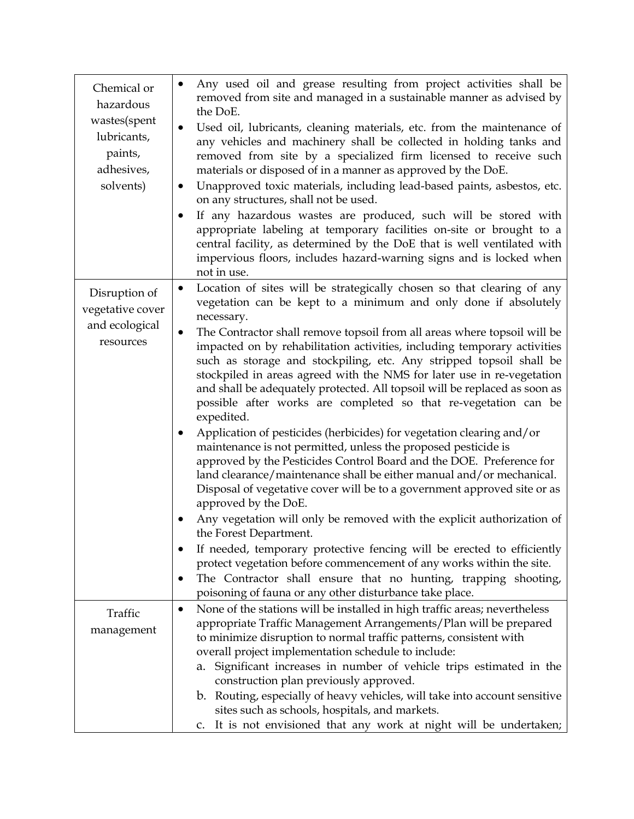| Chemical or<br>hazardous<br>wastes(spent<br>lubricants,<br>paints,<br>adhesives,<br>solvents) | Any used oil and grease resulting from project activities shall be<br>removed from site and managed in a sustainable manner as advised by<br>the DoE.<br>Used oil, lubricants, cleaning materials, etc. from the maintenance of<br>$\bullet$<br>any vehicles and machinery shall be collected in holding tanks and<br>removed from site by a specialized firm licensed to receive such<br>materials or disposed of in a manner as approved by the DoE.<br>Unapproved toxic materials, including lead-based paints, asbestos, etc.<br>$\bullet$<br>on any structures, shall not be used.<br>If any hazardous wastes are produced, such will be stored with<br>$\bullet$<br>appropriate labeling at temporary facilities on-site or brought to a<br>central facility, as determined by the DoE that is well ventilated with<br>impervious floors, includes hazard-warning signs and is locked when<br>not in use.                                                                                                                                                                                                                                                                                                                                                                                                                                                                                |
|-----------------------------------------------------------------------------------------------|------------------------------------------------------------------------------------------------------------------------------------------------------------------------------------------------------------------------------------------------------------------------------------------------------------------------------------------------------------------------------------------------------------------------------------------------------------------------------------------------------------------------------------------------------------------------------------------------------------------------------------------------------------------------------------------------------------------------------------------------------------------------------------------------------------------------------------------------------------------------------------------------------------------------------------------------------------------------------------------------------------------------------------------------------------------------------------------------------------------------------------------------------------------------------------------------------------------------------------------------------------------------------------------------------------------------------------------------------------------------------------------------|
| Disruption of<br>vegetative cover<br>and ecological<br>resources                              | Location of sites will be strategically chosen so that clearing of any<br>$\bullet$<br>vegetation can be kept to a minimum and only done if absolutely<br>necessary.<br>The Contractor shall remove topsoil from all areas where topsoil will be<br>$\bullet$<br>impacted on by rehabilitation activities, including temporary activities<br>such as storage and stockpiling, etc. Any stripped topsoil shall be<br>stockpiled in areas agreed with the NMS for later use in re-vegetation<br>and shall be adequately protected. All topsoil will be replaced as soon as<br>possible after works are completed so that re-vegetation can be<br>expedited.<br>Application of pesticides (herbicides) for vegetation clearing and/or<br>$\bullet$<br>maintenance is not permitted, unless the proposed pesticide is<br>approved by the Pesticides Control Board and the DOE. Preference for<br>land clearance/maintenance shall be either manual and/or mechanical.<br>Disposal of vegetative cover will be to a government approved site or as<br>approved by the DoE.<br>Any vegetation will only be removed with the explicit authorization of<br>the Forest Department.<br>If needed, temporary protective fencing will be erected to efficiently<br>protect vegetation before commencement of any works within the site.<br>The Contractor shall ensure that no hunting, trapping shooting, |
|                                                                                               | poisoning of fauna or any other disturbance take place.                                                                                                                                                                                                                                                                                                                                                                                                                                                                                                                                                                                                                                                                                                                                                                                                                                                                                                                                                                                                                                                                                                                                                                                                                                                                                                                                        |
| Traffic<br>management                                                                         | None of the stations will be installed in high traffic areas; nevertheless<br>٠<br>appropriate Traffic Management Arrangements/Plan will be prepared<br>to minimize disruption to normal traffic patterns, consistent with<br>overall project implementation schedule to include:<br>Significant increases in number of vehicle trips estimated in the<br>а.<br>construction plan previously approved.<br>b. Routing, especially of heavy vehicles, will take into account sensitive<br>sites such as schools, hospitals, and markets.<br>It is not envisioned that any work at night will be undertaken;<br>C <sub>1</sub>                                                                                                                                                                                                                                                                                                                                                                                                                                                                                                                                                                                                                                                                                                                                                                    |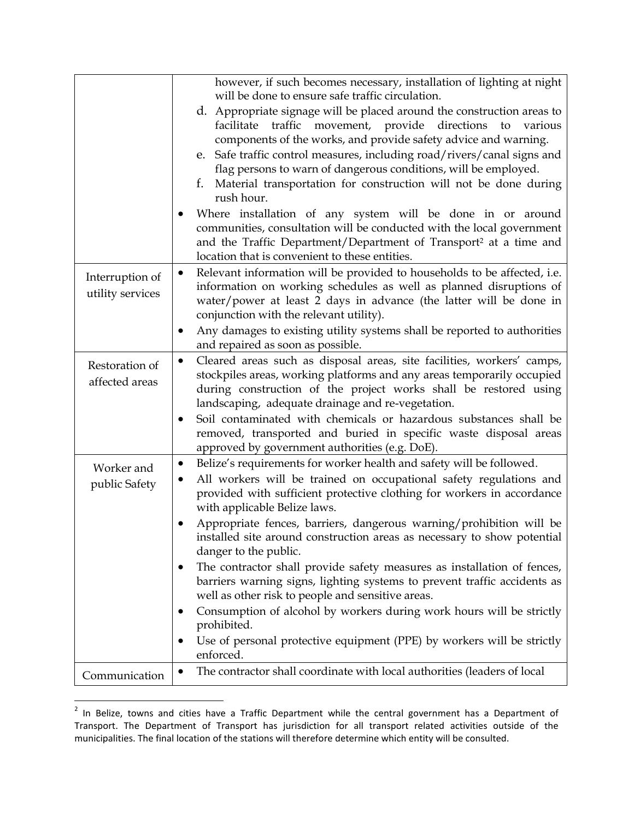|                                  | however, if such becomes necessary, installation of lighting at night                                                                                                                                                                                                  |
|----------------------------------|------------------------------------------------------------------------------------------------------------------------------------------------------------------------------------------------------------------------------------------------------------------------|
|                                  | will be done to ensure safe traffic circulation.                                                                                                                                                                                                                       |
|                                  | d. Appropriate signage will be placed around the construction areas to<br>movement, provide directions<br>facilitate<br>traffic<br>to<br>various<br>components of the works, and provide safety advice and warning.                                                    |
|                                  | e. Safe traffic control measures, including road/rivers/canal signs and                                                                                                                                                                                                |
|                                  | flag persons to warn of dangerous conditions, will be employed.                                                                                                                                                                                                        |
|                                  | Material transportation for construction will not be done during<br>t.                                                                                                                                                                                                 |
|                                  | rush hour.                                                                                                                                                                                                                                                             |
|                                  | Where installation of any system will be done in or around<br>communities, consultation will be conducted with the local government<br>and the Traffic Department/Department of Transport <sup>2</sup> at a time and<br>location that is convenient to these entities. |
| Interruption of                  | Relevant information will be provided to households to be affected, i.e.<br>$\bullet$                                                                                                                                                                                  |
| utility services                 | information on working schedules as well as planned disruptions of                                                                                                                                                                                                     |
|                                  | water/power at least 2 days in advance (the latter will be done in                                                                                                                                                                                                     |
|                                  | conjunction with the relevant utility).                                                                                                                                                                                                                                |
|                                  | Any damages to existing utility systems shall be reported to authorities                                                                                                                                                                                               |
|                                  | and repaired as soon as possible.                                                                                                                                                                                                                                      |
| Restoration of<br>affected areas | Cleared areas such as disposal areas, site facilities, workers' camps,<br>$\bullet$<br>stockpiles areas, working platforms and any areas temporarily occupied<br>during construction of the project works shall be restored using                                      |
|                                  | landscaping, adequate drainage and re-vegetation.                                                                                                                                                                                                                      |
|                                  | Soil contaminated with chemicals or hazardous substances shall be<br>removed, transported and buried in specific waste disposal areas<br>approved by government authorities (e.g. DoE).                                                                                |
| Worker and                       | Belize's requirements for worker health and safety will be followed.<br>$\bullet$                                                                                                                                                                                      |
| public Safety                    | All workers will be trained on occupational safety regulations and<br>provided with sufficient protective clothing for workers in accordance<br>with applicable Belize laws.                                                                                           |
|                                  | Appropriate fences, barriers, dangerous warning/prohibition will be<br>installed site around construction areas as necessary to show potential<br>danger to the public.                                                                                                |
|                                  | The contractor shall provide safety measures as installation of fences,<br>barriers warning signs, lighting systems to prevent traffic accidents as<br>well as other risk to people and sensitive areas.                                                               |
|                                  | Consumption of alcohol by workers during work hours will be strictly<br>prohibited.                                                                                                                                                                                    |
|                                  | Use of personal protective equipment (PPE) by workers will be strictly<br>enforced.                                                                                                                                                                                    |
| Communication                    | The contractor shall coordinate with local authorities (leaders of local                                                                                                                                                                                               |
|                                  |                                                                                                                                                                                                                                                                        |

 2 In Belize, towns and cities have a Traffic Department while the central government has a Department of Transport. The Department of Transport has jurisdiction for all transport related activities outside of the municipalities. The final location of the stations will therefore determine which entity will be consulted.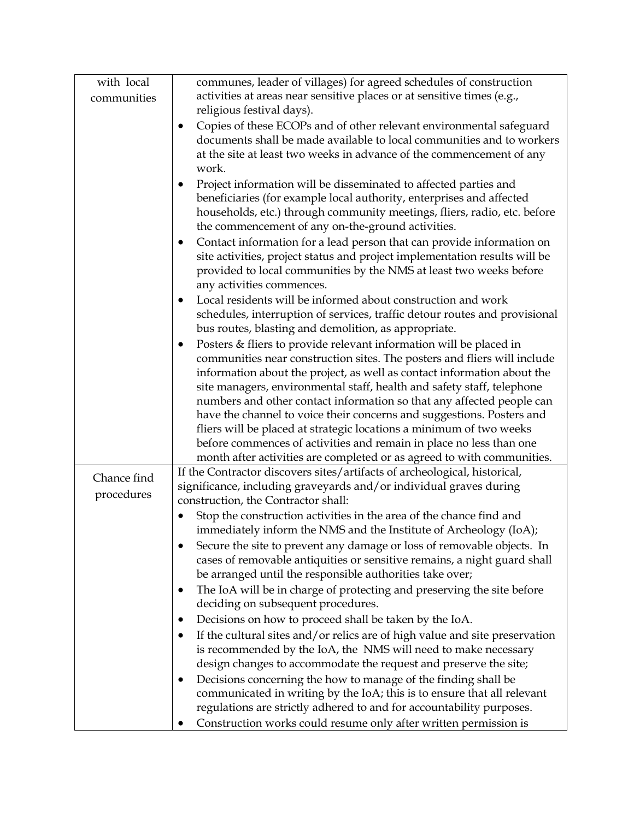| with local  | communes, leader of villages) for agreed schedules of construction                  |
|-------------|-------------------------------------------------------------------------------------|
| communities | activities at areas near sensitive places or at sensitive times (e.g.,              |
|             | religious festival days).                                                           |
|             | Copies of these ECOPs and of other relevant environmental safeguard<br>$\bullet$    |
|             | documents shall be made available to local communities and to workers               |
|             | at the site at least two weeks in advance of the commencement of any                |
|             | work.                                                                               |
|             | Project information will be disseminated to affected parties and                    |
|             | beneficiaries (for example local authority, enterprises and affected                |
|             | households, etc.) through community meetings, fliers, radio, etc. before            |
|             | the commencement of any on-the-ground activities.                                   |
|             | Contact information for a lead person that can provide information on<br>$\bullet$  |
|             | site activities, project status and project implementation results will be          |
|             | provided to local communities by the NMS at least two weeks before                  |
|             | any activities commences.                                                           |
|             | Local residents will be informed about construction and work<br>$\bullet$           |
|             | schedules, interruption of services, traffic detour routes and provisional          |
|             | bus routes, blasting and demolition, as appropriate.                                |
|             | Posters & fliers to provide relevant information will be placed in<br>$\bullet$     |
|             | communities near construction sites. The posters and fliers will include            |
|             | information about the project, as well as contact information about the             |
|             | site managers, environmental staff, health and safety staff, telephone              |
|             | numbers and other contact information so that any affected people can               |
|             | have the channel to voice their concerns and suggestions. Posters and               |
|             | fliers will be placed at strategic locations a minimum of two weeks                 |
|             | before commences of activities and remain in place no less than one                 |
|             | month after activities are completed or as agreed to with communities.              |
| Chance find | If the Contractor discovers sites/artifacts of archeological, historical,           |
| procedures  | significance, including graveyards and/or individual graves during                  |
|             | construction, the Contractor shall:                                                 |
|             | Stop the construction activities in the area of the chance find and<br>$\bullet$    |
|             | immediately inform the NMS and the Institute of Archeology (IoA);                   |
|             | Secure the site to prevent any damage or loss of removable objects. In              |
|             | cases of removable antiquities or sensitive remains, a night guard shall            |
|             | be arranged until the responsible authorities take over;                            |
|             | The IoA will be in charge of protecting and preserving the site before<br>$\bullet$ |
|             | deciding on subsequent procedures.                                                  |
|             | Decisions on how to proceed shall be taken by the IoA.<br>$\bullet$                 |
|             | If the cultural sites and/or relics are of high value and site preservation         |
|             | is recommended by the IoA, the NMS will need to make necessary                      |
|             | design changes to accommodate the request and preserve the site;                    |
|             | Decisions concerning the how to manage of the finding shall be<br>$\bullet$         |
|             | communicated in writing by the IoA; this is to ensure that all relevant             |
|             | regulations are strictly adhered to and for accountability purposes.                |
|             | Construction works could resume only after written permission is                    |